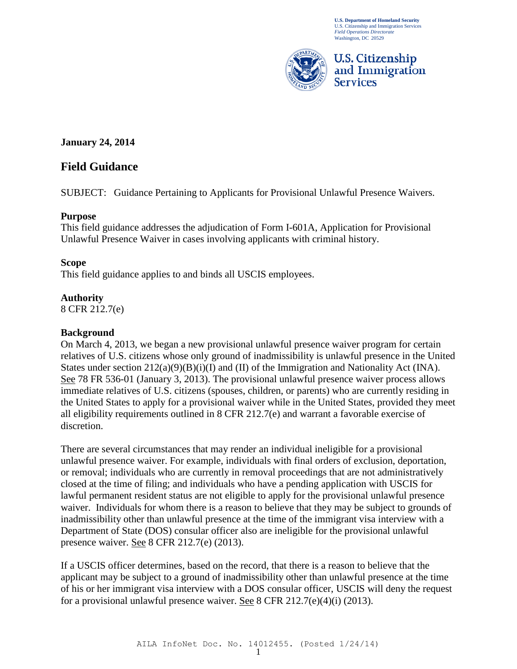**U.S. Department of Homeland Security** U.S. Citizenship and Immigration Services *Field Operations Directorate* Washington, DC 20529



**January 24, 2014** 

# **Field Guidance**

SUBJECT: Guidance Pertaining to Applicants for Provisional Unlawful Presence Waivers.

## **Purpose**

This field guidance addresses the adjudication of Form I-601A, Application for Provisional Unlawful Presence Waiver in cases involving applicants with criminal history.

## **Scope**

This field guidance applies to and binds all USCIS employees.

## **Authority**

8 CFR 212.7(e)

## **Background**

On March 4, 2013, we began a new provisional unlawful presence waiver program for certain relatives of U.S. citizens whose only ground of inadmissibility is unlawful presence in the United States under section 212(a)(9)(B)(i)(I) and (II) of the Immigration and Nationality Act (INA). See 78 FR 536-01 (January 3, 2013). The provisional unlawful presence waiver process allows immediate relatives of U.S. citizens (spouses, children, or parents) who are currently residing in the United States to apply for a provisional waiver while in the United States, provided they meet all eligibility requirements outlined in 8 CFR 212.7(e) and warrant a favorable exercise of discretion.

There are several circumstances that may render an individual ineligible for a provisional unlawful presence waiver. For example, individuals with final orders of exclusion, deportation, or removal; individuals who are currently in removal proceedings that are not administratively closed at the time of filing; and individuals who have a pending application with USCIS for lawful permanent resident status are not eligible to apply for the provisional unlawful presence waiver. Individuals for whom there is a reason to believe that they may be subject to grounds of inadmissibility other than unlawful presence at the time of the immigrant visa interview with a Department of State (DOS) consular officer also are ineligible for the provisional unlawful presence waiver. See 8 CFR 212.7(e) (2013).

If a USCIS officer determines, based on the record, that there is a reason to believe that the applicant may be subject to a ground of inadmissibility other than unlawful presence at the time of his or her immigrant visa interview with a DOS consular officer, USCIS will deny the request for a provisional unlawful presence waiver. See 8 CFR 212.7(e)(4)(i) (2013).